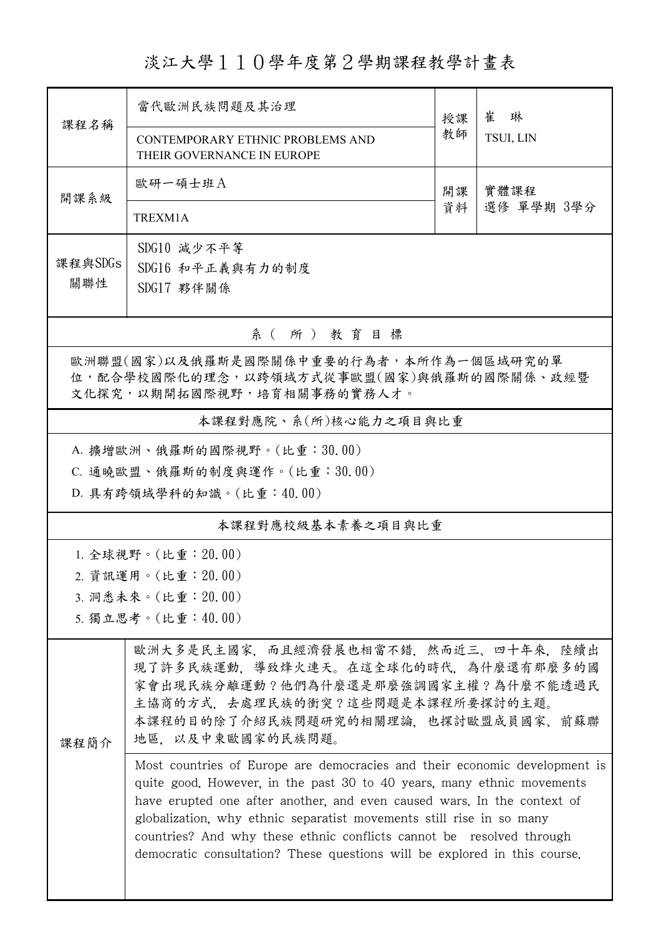淡江大學110學年度第2學期課程教學計畫表

| 課程名稱                                   | 當代歐洲民族問題及其治理                                                                                                                                    | 授課<br>教師 | 崔<br>琳<br>TSUI, LIN |  |  |  |  |  |
|----------------------------------------|-------------------------------------------------------------------------------------------------------------------------------------------------|----------|---------------------|--|--|--|--|--|
|                                        | CONTEMPORARY ETHNIC PROBLEMS AND<br>THEIR GOVERNANCE IN EUROPE                                                                                  |          |                     |  |  |  |  |  |
| 開課系級                                   | 歐研一碩士班A                                                                                                                                         | 開課<br>資料 | 實體課程<br>選修 單學期 3學分  |  |  |  |  |  |
|                                        | TREXM1A                                                                                                                                         |          |                     |  |  |  |  |  |
|                                        | SDG10 減少不平等                                                                                                                                     |          |                     |  |  |  |  |  |
| 課程與SDGs<br>關聯性                         | SDG16 和平正義與有力的制度                                                                                                                                |          |                     |  |  |  |  |  |
|                                        | SDG17 夥伴關係                                                                                                                                      |          |                     |  |  |  |  |  |
| 系(所)教育目標                               |                                                                                                                                                 |          |                     |  |  |  |  |  |
| 歐洲聯盟(國家)以及俄羅斯是國際關係中重要的行為者,本所作為一個區域研究的單 |                                                                                                                                                 |          |                     |  |  |  |  |  |
|                                        | 位,配合學校國際化的理念,以跨領域方式從事歐盟(國家)與俄羅斯的國際關係、政經暨<br>文化探究,以期開拓國際視野,培育相關事務的實務人才。                                                                          |          |                     |  |  |  |  |  |
|                                        |                                                                                                                                                 |          |                     |  |  |  |  |  |
| 本課程對應院、系(所)核心能力之項目與比重                  |                                                                                                                                                 |          |                     |  |  |  |  |  |
| A. 擴增歐洲、俄羅斯的國際視野。(比重:30.00)            |                                                                                                                                                 |          |                     |  |  |  |  |  |
|                                        | C. 通曉歐盟、俄羅斯的制度與運作。(比重:30.00)                                                                                                                    |          |                     |  |  |  |  |  |
|                                        | D. 具有跨領域學科的知識。(比重:40.00)                                                                                                                        |          |                     |  |  |  |  |  |
|                                        | 本課程對應校級基本素養之項目與比重                                                                                                                               |          |                     |  |  |  |  |  |
|                                        | 1. 全球視野。(比重: 20.00)                                                                                                                             |          |                     |  |  |  |  |  |
|                                        | 2. 資訊運用。(比重: 20.00)                                                                                                                             |          |                     |  |  |  |  |  |
|                                        | 3. 洞悉未來。(比重: 20.00)                                                                                                                             |          |                     |  |  |  |  |  |
|                                        | 5. 獨立思考。(比重:40.00)                                                                                                                              |          |                     |  |  |  |  |  |
|                                        | 歐洲大多是民主國家,而且經濟發展也相當不錯,然而近三、四十年來,陸續出                                                                                                             |          |                     |  |  |  |  |  |
|                                        | 現了許多民族運動,導致烽火連天。在這全球化的時代,為什麼還有那麼多的國                                                                                                             |          |                     |  |  |  |  |  |
| 課程簡介                                   | 家會出現民族分離運動?他們為什麼還是那麼強調國家主權?為什麼不能透過民                                                                                                             |          |                     |  |  |  |  |  |
|                                        | 主協商的方式,去處理民族的衝突?這些問題是本課程所要探討的主題。<br>本課程的目的除了介紹民族問題研究的相關理論,也探討歐盟成員國家、前蘇聯                                                                         |          |                     |  |  |  |  |  |
|                                        | 地區、以及中東歐國家的民族問題。                                                                                                                                |          |                     |  |  |  |  |  |
|                                        | Most countries of Europe are democracies and their economic development is                                                                      |          |                     |  |  |  |  |  |
|                                        | quite good. However, in the past 30 to 40 years, many ethnic movements                                                                          |          |                     |  |  |  |  |  |
|                                        | have erupted one after another, and even caused wars. In the context of<br>globalization, why ethnic separatist movements still rise in so many |          |                     |  |  |  |  |  |
|                                        | countries? And why these ethnic conflicts cannot be resolved through                                                                            |          |                     |  |  |  |  |  |
|                                        | democratic consultation? These questions will be explored in this course.                                                                       |          |                     |  |  |  |  |  |
|                                        |                                                                                                                                                 |          |                     |  |  |  |  |  |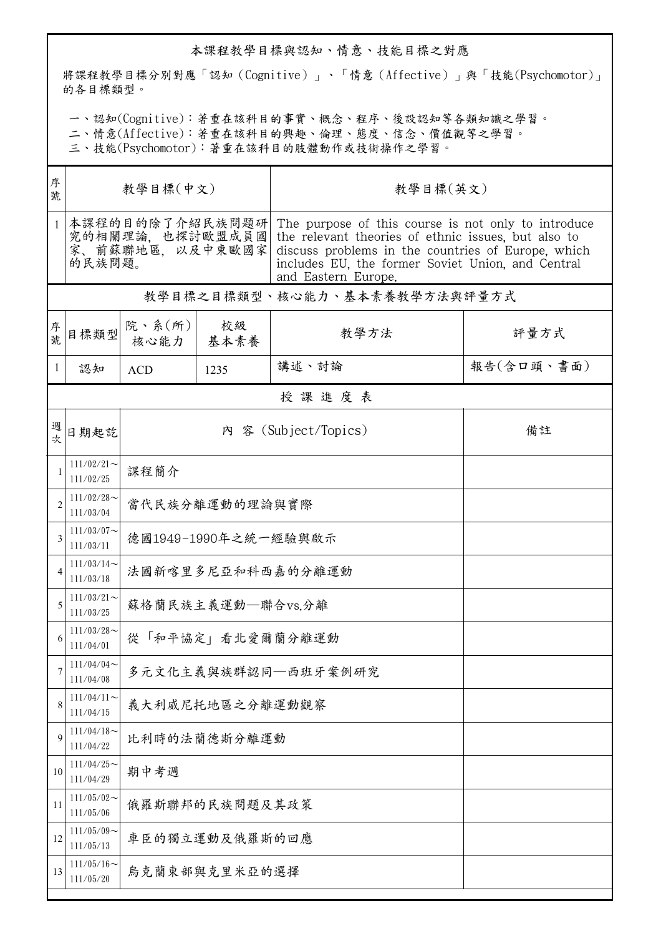## 本課程教學目標與認知、情意、技能目標之對應

將課程教學目標分別對應「認知(Cognitive)」、「情意(Affective)」與「技能(Psychomotor)」 的各目標類型。

一、認知(Cognitive):著重在該科目的事實、概念、程序、後設認知等各類知識之學習。

二、情意(Affective):著重在該科目的興趣、倫理、態度、信念、價值觀等之學習。

三、技能(Psychomotor):著重在該科目的肢體動作或技術操作之學習。

| 序<br>號         | 教學目標(中文)                                                        |                      |            | 教學目標(英文)                                                                                                                                                                                                                                     |            |  |  |  |  |
|----------------|-----------------------------------------------------------------|----------------------|------------|----------------------------------------------------------------------------------------------------------------------------------------------------------------------------------------------------------------------------------------------|------------|--|--|--|--|
| $\mathbf{1}$   | 本課程的目的除了介紹民族問題研<br>究的相關理論,也探討歐盟成員國<br>家、前蘇聯地區,以及中東歐國家<br>的民族問題。 |                      |            | The purpose of this course is not only to introduce<br>the relevant theories of ethnic issues, but also to<br>discuss problems in the countries of Europe, which<br>includes EU, the former Soviet Union, and Central<br>and Eastern Europe. |            |  |  |  |  |
|                | 教學目標之目標類型、核心能力、基本素養教學方法與評量方式                                    |                      |            |                                                                                                                                                                                                                                              |            |  |  |  |  |
| 序號             | 目標類型                                                            | 院、系(所)<br>核心能力       | 校級<br>基本素養 | 教學方法                                                                                                                                                                                                                                         | 評量方式       |  |  |  |  |
| 1              | 認知                                                              | <b>ACD</b>           | 1235       | 講述、討論                                                                                                                                                                                                                                        | 報告(含口頭、書面) |  |  |  |  |
|                | 授課進度表                                                           |                      |            |                                                                                                                                                                                                                                              |            |  |  |  |  |
| 週次             | 日期起訖                                                            |                      |            | 內 容 (Subject/Topics)                                                                                                                                                                                                                         | 備註         |  |  |  |  |
| 1              | $111/02/21$ ~<br>111/02/25                                      | 課程簡介                 |            |                                                                                                                                                                                                                                              |            |  |  |  |  |
| $\overline{2}$ | $111/02/28$ ~<br>111/03/04                                      | 當代民族分離運動的理論與實際       |            |                                                                                                                                                                                                                                              |            |  |  |  |  |
| 3              | $111/03/07$ ~<br>111/03/11                                      | 德國1949-1990年之統一經驗與啟示 |            |                                                                                                                                                                                                                                              |            |  |  |  |  |
| 4              | $111/03/14$ ~<br>111/03/18                                      | 法國新喀里多尼亞和科西嘉的分離運動    |            |                                                                                                                                                                                                                                              |            |  |  |  |  |
| 5              | $111/03/21$ ~<br>111/03/25                                      | 蘇格蘭民族主義運動–聯合vs.分離    |            |                                                                                                                                                                                                                                              |            |  |  |  |  |
| 6              | $111/03/28$ ~<br>111/04/01                                      | 從「和平協定」看北愛爾蘭分離運動     |            |                                                                                                                                                                                                                                              |            |  |  |  |  |
| 7              | 111/04/04<br>111/04/08                                          | 多元文化主義與族群認同一西班牙案例研究  |            |                                                                                                                                                                                                                                              |            |  |  |  |  |
| 8              | $111/04/11$ ~<br>111/04/15                                      | 義大利威尼托地區之分離運動觀察      |            |                                                                                                                                                                                                                                              |            |  |  |  |  |
| 9              | $111/04/18$ ~<br>111/04/22                                      | 比利時的法蘭德斯分離運動         |            |                                                                                                                                                                                                                                              |            |  |  |  |  |
| 10             | $111/04/25$ ~<br>111/04/29                                      | 期中考週                 |            |                                                                                                                                                                                                                                              |            |  |  |  |  |
| 11             | $111/05/02$ ~<br>111/05/06                                      | 俄羅斯聯邦的民族問題及其政策       |            |                                                                                                                                                                                                                                              |            |  |  |  |  |
| 12             | $111/05/09$ ~<br>111/05/13                                      | 車臣的獨立運動及俄羅斯的回應       |            |                                                                                                                                                                                                                                              |            |  |  |  |  |
| 13             | $111/05/16$ ~<br>111/05/20                                      | 烏克蘭東部與克里米亞的選擇        |            |                                                                                                                                                                                                                                              |            |  |  |  |  |